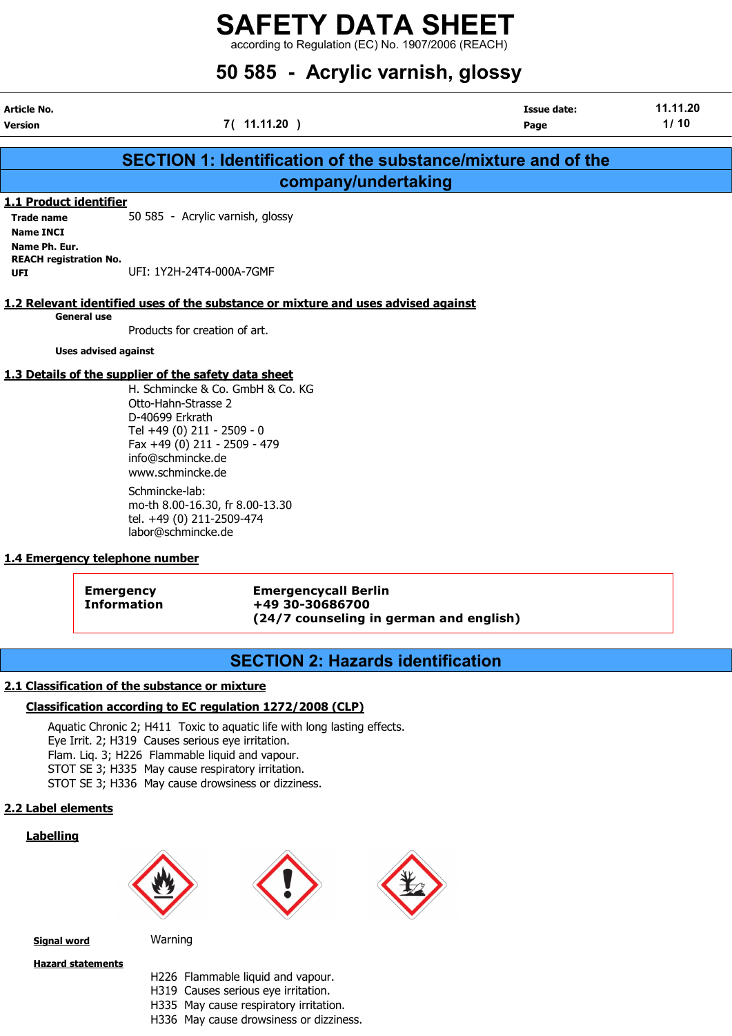according to Regulation (EC) No. 1907/2006 (REACH)

# 50 585 - Acrylic varnish, glossy

| Article No.<br>Version        | 7(11.11.20)                                                   | Issue date:<br>Page | 11.11.20<br>1/10 |
|-------------------------------|---------------------------------------------------------------|---------------------|------------------|
|                               |                                                               |                     |                  |
|                               | SECTION 1: Identification of the substance/mixture and of the |                     |                  |
|                               | company/undertaking                                           |                     |                  |
| 1.1 Product identifier        |                                                               |                     |                  |
| <b>Trade name</b>             | 50 585 - Acrylic varnish, glossy                              |                     |                  |
| <b>Name INCI</b>              |                                                               |                     |                  |
| Name Ph. Eur.                 |                                                               |                     |                  |
| <b>REACH registration No.</b> |                                                               |                     |                  |
| UFI                           | UFI: 1Y2H-24T4-000A-7GMF                                      |                     |                  |

# 1.2 Relevant identified uses of the substance or mixture and uses advised against

General use

Products for creation of art.

Uses advised against

# 1.3 Details of the supplier of the safety data sheet

H. Schmincke & Co. GmbH & Co. KG Otto-Hahn-Strasse 2 D-40699 Erkrath Tel +49 (0) 211 - 2509 - 0 Fax +49 (0) 211 - 2509 - 479 info@schmincke.de www.schmincke.de Schmincke-lab: mo-th 8.00-16.30, fr 8.00-13.30

tel. +49 (0) 211-2509-474 labor@schmincke.de

# 1.4 Emergency telephone number

Emergency Emergencycall Berlin Information +49 30-30686700 (24/7 counseling in german and english)

# SECTION 2: Hazards identification

# 2.1 Classification of the substance or mixture

# Classification according to EC regulation 1272/2008 (CLP)

Aquatic Chronic 2; H411 Toxic to aquatic life with long lasting effects. Eye Irrit. 2; H319 Causes serious eye irritation. Flam. Liq. 3; H226 Flammable liquid and vapour. STOT SE 3; H335 May cause respiratory irritation. STOT SE 3; H336 May cause drowsiness or dizziness.

# 2.2 Label elements

# Labelling







**Signal word** Warning

Hazard statements

- H226 Flammable liquid and vapour.
- H319 Causes serious eye irritation.
- H335 May cause respiratory irritation.
- H336 May cause drowsiness or dizziness.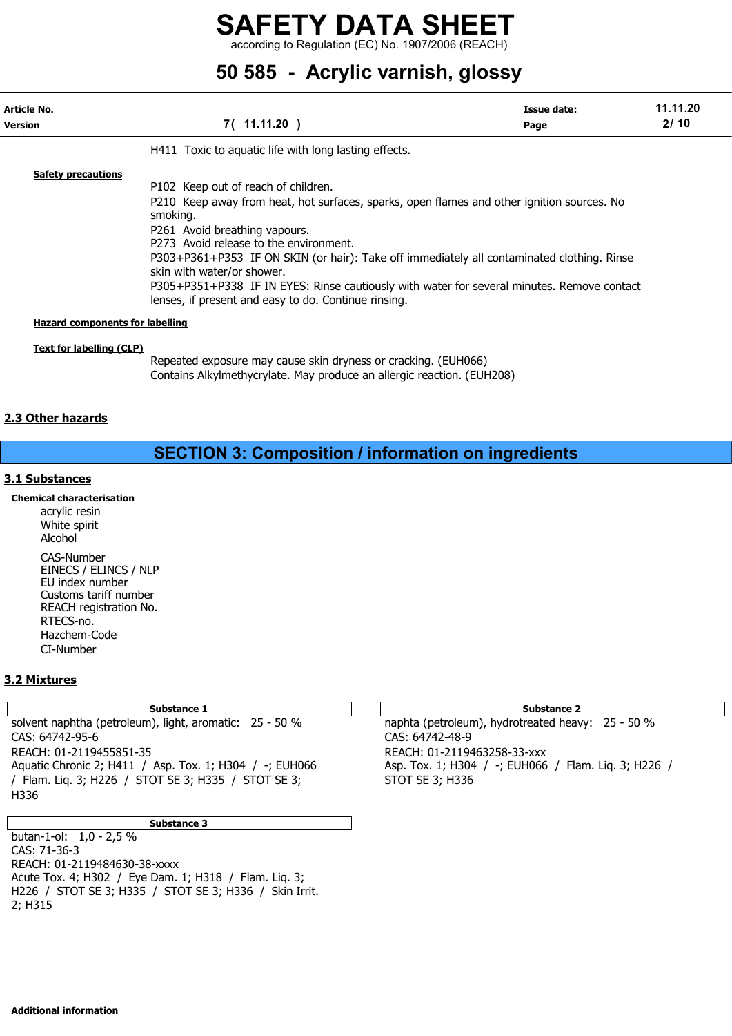according to Regulation (EC) No. 1907/2006 (REACH)

# 50 585 - Acrylic varnish, glossy

| Article No.<br><b>Version</b>          | 7(11.11.20)                                                                                                                                                                                                                                                                                                                                                                                                                                                                                                | <b>Issue date:</b><br>Page | 11.11.20<br>2/10 |
|----------------------------------------|------------------------------------------------------------------------------------------------------------------------------------------------------------------------------------------------------------------------------------------------------------------------------------------------------------------------------------------------------------------------------------------------------------------------------------------------------------------------------------------------------------|----------------------------|------------------|
|                                        | H411 Toxic to aquatic life with long lasting effects.                                                                                                                                                                                                                                                                                                                                                                                                                                                      |                            |                  |
| <b>Safety precautions</b>              | P102 Keep out of reach of children.<br>P210 Keep away from heat, hot surfaces, sparks, open flames and other ignition sources. No<br>smoking.<br>P261 Avoid breathing vapours.<br>P273 Avoid release to the environment.<br>P303+P361+P353 IF ON SKIN (or hair): Take off immediately all contaminated clothing. Rinse<br>skin with water/or shower.<br>P305+P351+P338 IF IN EYES: Rinse cautiously with water for several minutes. Remove contact<br>lenses, if present and easy to do. Continue rinsing. |                            |                  |
| <b>Hazard components for labelling</b> |                                                                                                                                                                                                                                                                                                                                                                                                                                                                                                            |                            |                  |
| <b>Text for labelling (CLP)</b>        | Repeated exposure may cause skin dryness or cracking. (EUH066)                                                                                                                                                                                                                                                                                                                                                                                                                                             |                            |                  |

Contains Alkylmethycrylate. May produce an allergic reaction. (EUH208)

# 2.3 Other hazards

# SECTION 3: Composition / information on ingredients

# 3.1 Substances

## Chemical characterisation

acrylic resin White spirit Alcohol CAS-Number EINECS / ELINCS / NLP EU index number Customs tariff number REACH registration No. RTECS-no. Hazchem-Code CI-Number

# 3.2 Mixtures

solvent naphtha (petroleum), light, aromatic: 25 - 50 % naphta (petroleum), hydrotreated heavy: 25 - 50 % CAS: 64742-95-6 CAS: 64742-48-9 REACH: 01-2119455851-35 REACH: 01-2119463258-33-xxx Aquatic Chronic 2; H411 / Asp. Tox. 1; H304 / -; EUH066 Asp. Tox. 1; H304 / -; EUH066 / Flam. Liq. 3; H226 / / Flam. Lig. 3; H226 / STOT SE 3; H335 / STOT SE 3; STOT SE 3; H336 H336

## Substance 3

butan-1-ol: 1,0 - 2,5 % CAS: 71-36-3 REACH: 01-2119484630-38-xxxx Acute Tox. 4; H302 / Eye Dam. 1; H318 / Flam. Liq. 3; H226 / STOT SE 3; H335 / STOT SE 3; H336 / Skin Irrit. 2; H315

# Substance 1 and 2 Substance 2 and 3 Substance 2 and 3 Substance 2 and 3 Substance 2 and 3 Substance 2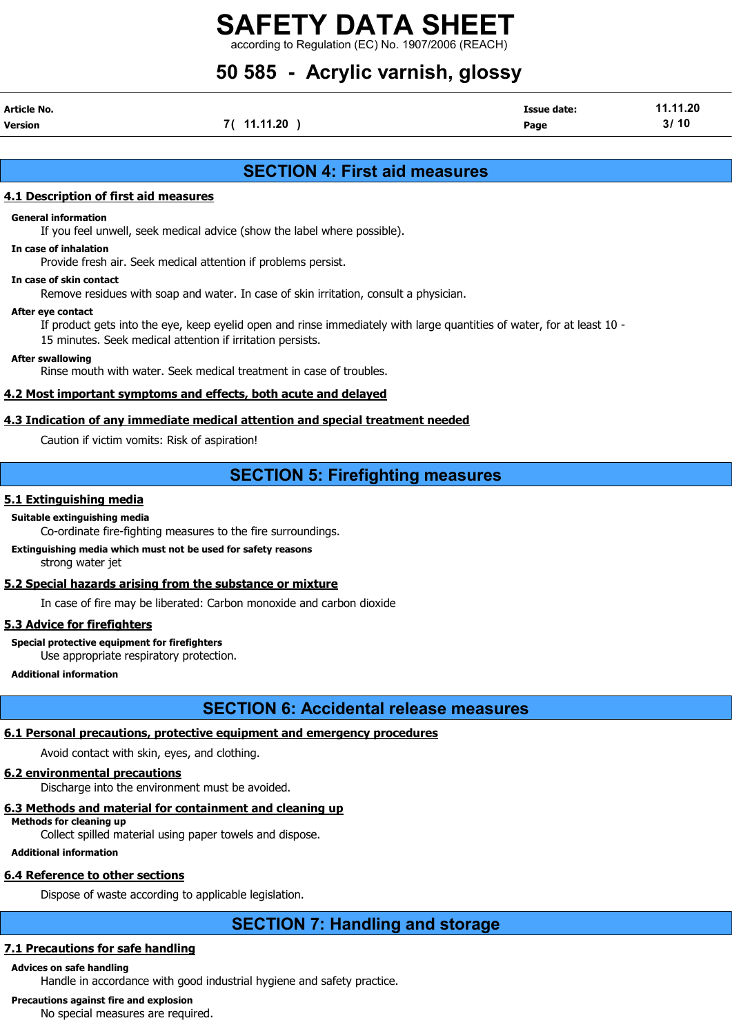$\frac{1}{100}$  to Regulation (EC) No. 1907/2006 (REAC

# 50 585 - Acrylic varnish, glossy

| Article No. |             | <b>Issue date:</b> | 11.11.20 |
|-------------|-------------|--------------------|----------|
| Version     | 7( 11.11.20 | Page               | 3/10     |

# SECTION 4: First aid measures

# 4.1 Description of first aid measures

## General information

If you feel unwell, seek medical advice (show the label where possible).

## In case of inhalation

Provide fresh air. Seek medical attention if problems persist.

## In case of skin contact

Remove residues with soap and water. In case of skin irritation, consult a physician.

#### After eye contact

If product gets into the eye, keep eyelid open and rinse immediately with large quantities of water, for at least 10 - 15 minutes. Seek medical attention if irritation persists.

#### After swallowing

Rinse mouth with water. Seek medical treatment in case of troubles.

# 4.2 Most important symptoms and effects, both acute and delayed

# 4.3 Indication of any immediate medical attention and special treatment needed

Caution if victim vomits: Risk of aspiration!

# SECTION 5: Firefighting measures

# 5.1 Extinguishing media

## Suitable extinguishing media

Co-ordinate fire-fighting measures to the fire surroundings.

# Extinguishing media which must not be used for safety reasons

strong water jet

# 5.2 Special hazards arising from the substance or mixture

In case of fire may be liberated: Carbon monoxide and carbon dioxide

# 5.3 Advice for firefighters

Special protective equipment for firefighters Use appropriate respiratory protection.

Additional information

# SECTION 6: Accidental release measures

# 6.1 Personal precautions, protective equipment and emergency procedures

Avoid contact with skin, eyes, and clothing.

# 6.2 environmental precautions

Discharge into the environment must be avoided.

#### 6.3 Methods and material for containment and cleaning up Methods for cleaning up

Collect spilled material using paper towels and dispose.

# Additional information

# 6.4 Reference to other sections

Dispose of waste according to applicable legislation.

# SECTION 7: Handling and storage

# 7.1 Precautions for safe handling

# Advices on safe handling

Handle in accordance with good industrial hygiene and safety practice.

# Precautions against fire and explosion

No special measures are required.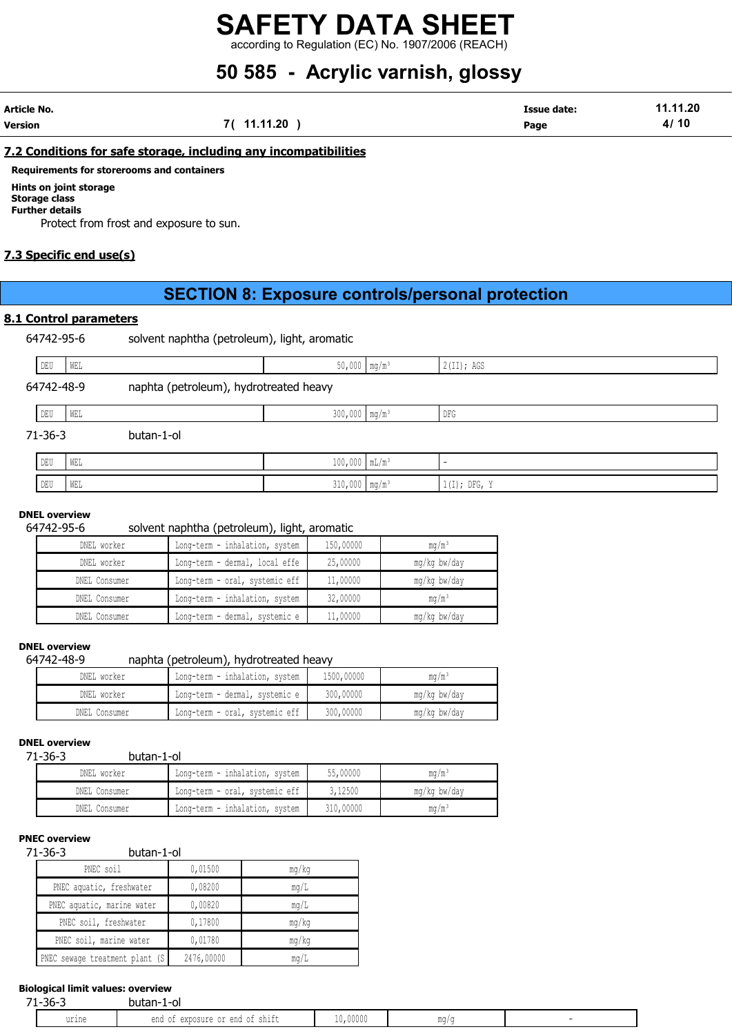according to Regulation (EC) No. 1907/2006 (REACH)

# 50 585 - Acrylic varnish, glossy

| Article No. |             | <b>Issue date:</b> | 11.11.20 |
|-------------|-------------|--------------------|----------|
| Version     | 7( 11.11.20 | Page               | 4/10     |

## 7.2 Conditions for safe storage, including any incompatibilities

Requirements for storerooms and containers

# Hints on joint storage

#### Storage class Further details

Protect from frost and exposure to sun.

# 7.3 Specific end use(s)

# SECTION 8: Exposure controls/personal protection

## 8.1 Control parameters

64742-95-6 solvent naphtha (petroleum), light, aromatic

| DEU<br>WEL    |                                        | $50,000$ mg/m <sup>3</sup>  | 2(II); AGS     |
|---------------|----------------------------------------|-----------------------------|----------------|
| 64742-48-9    | naphta (petroleum), hydrotreated heavy |                             |                |
| DEU<br>WEL    |                                        | $300,000$ mg/m <sup>3</sup> | DFG            |
| $71 - 36 - 3$ | butan-1-ol                             |                             |                |
| DEU<br>WEL    |                                        | $100,000$ $mL/m^3$          |                |
| DEU<br>WEL    |                                        | $310,000$ mg/m <sup>3</sup> | $1(I);$ DFG, Y |

#### DNEL overview

#### 64742-95-6 solvent naphtha (petroleum), light, aromatic

| DNEL worker   | Long-term - inhalation, system | 150,00000 | mq/m <sup>3</sup> |
|---------------|--------------------------------|-----------|-------------------|
| DNEL worker   | Long-term - dermal, local effe | 25,00000  | mg/kg bw/day      |
| DNEL Consumer | Long-term - oral, systemic eff | 11,00000  | mg/kg bw/day      |
| DNEL Consumer | Long-term - inhalation, system | 32,00000  | $m\alpha/m^3$     |
| DNEL Consumer | Long-term - dermal, systemic e | 11,00000  | mg/kg bw/day      |

## DNEL overview

64742-48-9 naphta (petroleum), hydrotreated heavy

| DNEL worker   | Long-term - inhalation, system | 1500,00000 | $\text{ma/m}^3$ |
|---------------|--------------------------------|------------|-----------------|
| DNEL worker   | Long-term - dermal, systemic e | 300,00000  | mg/kg bw/day    |
| DNEL Consumer | Long-term - oral, systemic eff | 300,00000  | mg/kg bw/day    |

### DNEL overview

71-36-3 butan-1-ol

| DNEL worker   | Long-term - inhalation, system | 55,00000  | $\text{ma/m}^3$   |
|---------------|--------------------------------|-----------|-------------------|
| DNEL Consumer | Long-term - oral, systemic eff | 3,12500   | mg/kg bw/day      |
| DNEL Consumer | Long-term - inhalation, system | 310,00000 | ma/m <sup>3</sup> |

#### PNEC overview

71-36-3 butan-1-ol

| PNEC soil                      | 0,01500    | mg/kg |
|--------------------------------|------------|-------|
| PNEC aquatic, freshwater       | 0,08200    | mq/L  |
| PNEC aquatic, marine water     | 0,00820    | mq/L  |
| PNEC soil, freshwater          | 0,17800    | mq/kg |
| PNEC soil, marine water        | 0,01780    | mq/kg |
| NEC sewage treatment plant (S) | 2476,00000 | mq/L  |

# Biological limit values: overview

| $-$<br>$\sim$<br>$\sim$<br>.<br>$\sim$                            | 74 | - הר  | bu<br>υı<br>ы |          |  |
|-------------------------------------------------------------------|----|-------|---------------|----------|--|
| ◡⊥<br>◡⊥◟<br><u>UIII L</u><br><b>UANUUULU</b><br><b>TIM</b><br>◡∸ |    | urine | ena           | 10,00000 |  |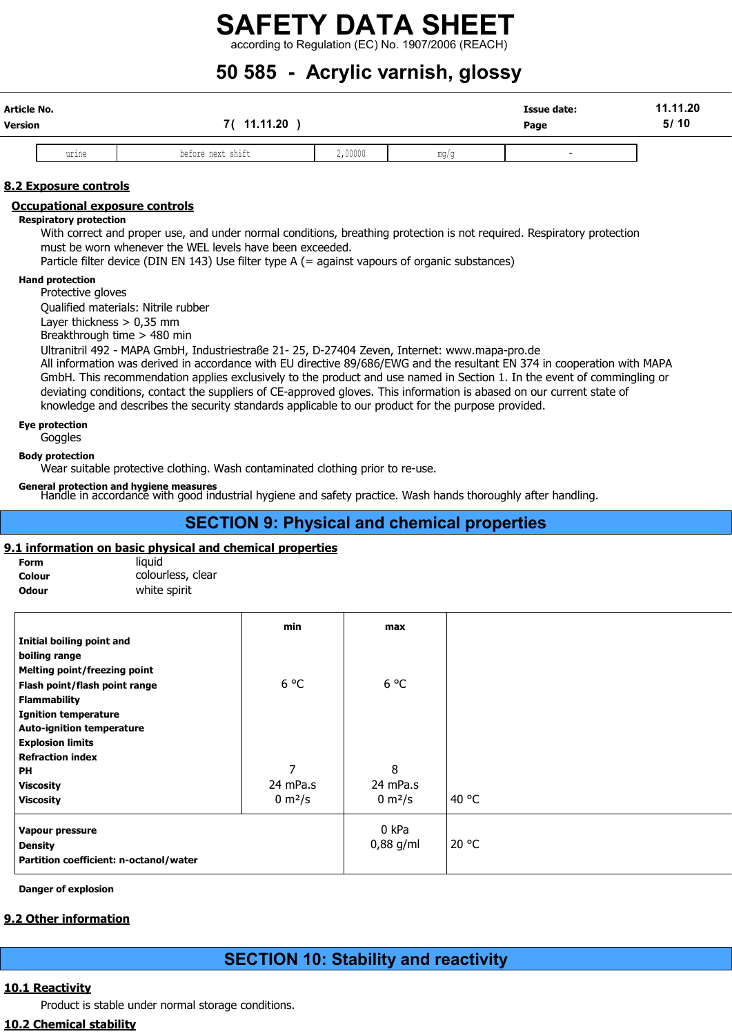according to Regulation (EC) No. 1907/2006 (REACH)

# 50 585 - Acrylic varnish, glossy

| Article No.<br>Version |       | 11.11.20          |         |      | <b>Issue date:</b><br>Page | 11.11.20<br>5/10 |
|------------------------|-------|-------------------|---------|------|----------------------------|------------------|
|                        | urine | before next shift | 2,00000 | mq/c | . .                        |                  |

# 8.2 Exposure controls

# Occupational exposure controls

## Respiratory protection

With correct and proper use, and under normal conditions, breathing protection is not required. Respiratory protection must be worn whenever the WEL levels have been exceeded.

Particle filter device (DIN EN 143) Use filter type A (= against vapours of organic substances)

### Hand protection

Protective gloves

Qualified materials: Nitrile rubber

Layer thickness > 0,35 mm

Breakthrough time > 480 min

Ultranitril 492 - MAPA GmbH, Industriestraße 21- 25, D-27404 Zeven, Internet: www.mapa-pro.de

All information was derived in accordance with EU directive 89/686/EWG and the resultant EN 374 in cooperation with MAPA GmbH. This recommendation applies exclusively to the product and use named in Section 1. In the event of commingling or deviating conditions, contact the suppliers of CE-approved gloves. This information is abased on our current state of knowledge and describes the security standards applicable to our product for the purpose provided.

## Eye protection

**Goggles** 

## Body protection

Wear suitable protective clothing. Wash contaminated clothing prior to re-use.

## General protection and hygiene measures

Handle in accordance with good industrial hygiene and safety practice. Wash hands thoroughly after handling.

# SECTION 9: Physical and chemical properties

# 9.1 information on basic physical and chemical properties

| Form         | liauid            |
|--------------|-------------------|
| Colour       | colourless, clear |
| <b>Odour</b> | white spirit      |

|                                        | min                | max                 |       |
|----------------------------------------|--------------------|---------------------|-------|
| Initial boiling point and              |                    |                     |       |
| boiling range                          |                    |                     |       |
| Melting point/freezing point           |                    |                     |       |
| Flash point/flash point range          | $6^{\circ}$ C      | $6^{\circ}$ C       |       |
| <b>Flammability</b>                    |                    |                     |       |
| <b>Ignition temperature</b>            |                    |                     |       |
| <b>Auto-ignition temperature</b>       |                    |                     |       |
| <b>Explosion limits</b>                |                    |                     |       |
| <b>Refraction index</b>                |                    |                     |       |
| <b>PH</b>                              | $\overline{ }$     | 8                   |       |
| <b>Viscosity</b>                       | 24 mPa.s           | 24 mPa.s            |       |
| <b>Viscosity</b>                       | $0 \text{ m}^2$ /s | 0 m <sup>2</sup> /s | 40 °C |
| Vapour pressure                        |                    | 0 kPa               |       |
| <b>Density</b>                         |                    | 0,88 g/ml           | 20 °C |
| Partition coefficient: n-octanol/water |                    |                     |       |

Danger of explosion

# 9.2 Other information

# SECTION 10: Stability and reactivity

# 10.1 Reactivity

Product is stable under normal storage conditions.

# 10.2 Chemical stability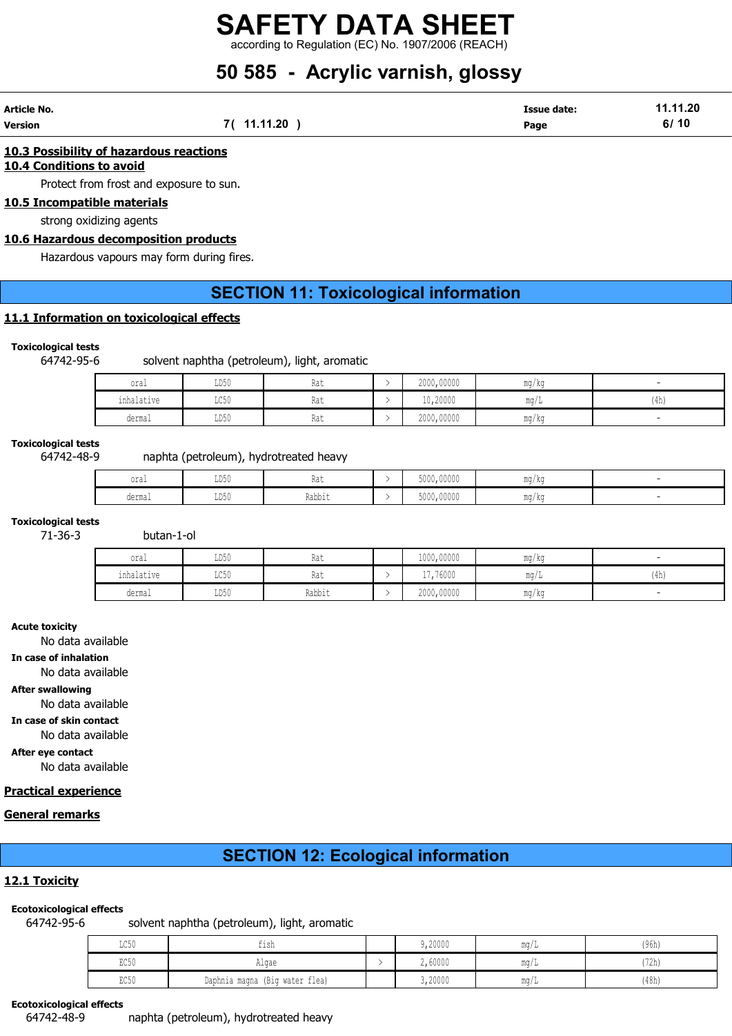according to Regulation (EC) No. 1907/2006 (REACH)

# 50 585 - Acrylic varnish, glossy

| Article No. |          | <b>Issue date:</b> | 11.11.20 |
|-------------|----------|--------------------|----------|
| Version     | 11.11.20 | Page               | 10<br>6/ |

## 10.3 Possibility of hazardous reactions

10.4 Conditions to avoid

Protect from frost and exposure to sun.

# 10.5 Incompatible materials

strong oxidizing agents

# 10.6 Hazardous decomposition products

Hazardous vapours may form during fires.

# SECTION 11: Toxicological information

# 11.1 Information on toxicological effects

# Toxicological tests

64742-95-6 solvent naphtha (petroleum), light, aromatic

| oral       | LD50 | Rat | 2000,00000 | mg/kg |      |
|------------|------|-----|------------|-------|------|
| inhalative | LC50 | Rat | 10,20000   | mq/L  | (4h) |
| dermal     | LD50 | Rat | 2000,00000 | mg/kg |      |

#### Toxicological tests

# 64742-48-9 naphta (petroleum), hydrotreated heavy

| $\sim$<br>OTQT | LD50 | <b>TIMA</b> | 5000,00000 | ma/ka |  |
|----------------|------|-------------|------------|-------|--|
| dermal         | LD50 | Rabbit      | 5000,00000 | mg/kg |  |

# Toxicological tests

71-36-3 butan-1-ol

| oral       | LD50 | na i   | 1000,00000 | mg/kg |           |
|------------|------|--------|------------|-------|-----------|
| inhalative | LC50 | na i   | 17,76000   | mq/L  | 4h<br>711 |
| dermal     | LD50 | Rabbit | 2000,00000 | mg/kg |           |

#### Acute toxicity

No data available

In case of inhalation

No data available

#### After swallowing

No data available

In case of skin contact

No data available

After eye contact

No data available

# Practical experience

# General remarks

# SECTION 12: Ecological information

# 12.1 Toxicity

#### Ecotoxicological effects

64742-95-6 solvent naphtha (petroleum), light, aromatic

| LC50 | tısh                           | 9,20000 | ma/L | (96h) |
|------|--------------------------------|---------|------|-------|
| EC50 | Alqae                          | 2,60000 | mq/L | '72h  |
| EC50 | Daphnia magna (Big water flea) | 3,20000 | mq/L | (48h) |

#### Ecotoxicological effects

64742-48-9 naphta (petroleum), hydrotreated heavy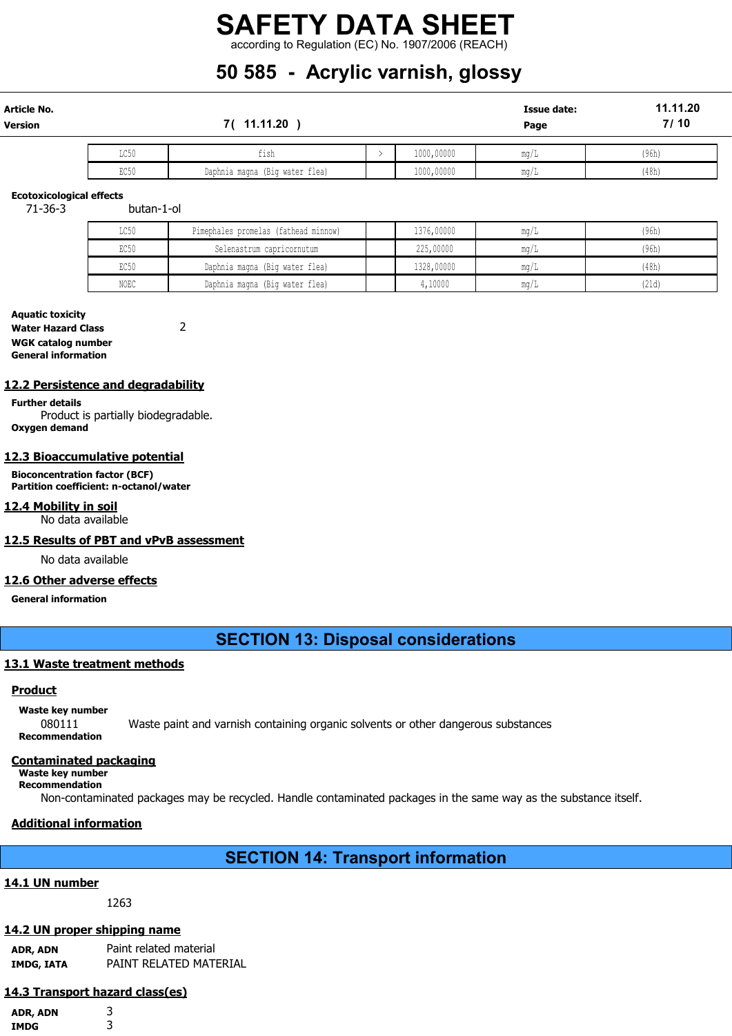according to Regulation (EC) No. 1907/2006 (REACH)

# 50 585 - Acrylic varnish, glossy

| Article No.<br>Version |      | 7(11.11.20                     |            | <b>Issue date:</b><br>Page | 11.11.20<br>7/10 |
|------------------------|------|--------------------------------|------------|----------------------------|------------------|
|                        | LC50 | tısh                           | 1000,00000 | mq/L                       | (96h)            |
|                        | EC50 | Daphnia magna (Big water flea) | 1000,00000 | mq/L                       | (48h)            |

#### Ecotoxicological effects

71-36-3 butan-1-ol

| LC50 | Pimephales promelas (fathead minnow) | 1376,00000 | $\text{max}/1$ | (96h) |
|------|--------------------------------------|------------|----------------|-------|
| EC50 | Selenastrum capricornutum            | 225,00000  | ma/l           | (96h) |
| EC50 | Daphnia magna (Big water flea)       | 1328,00000 | ma/l           | (48h) |
| NOEC | Daphnia magna (Big water flea)       | 4,10000    | $\text{max/L}$ | (21d) |

### Aquatic toxicity Water Hazard Class 2 WGK catalog number General information

## 12.2 Persistence and degradability

Further details Product is partially biodegradable. Oxygen demand

# 12.3 Bioaccumulative potential

Bioconcentration factor (BCF) Partition coefficient: n-octanol/water

#### 12.4 Mobility in soil

No data available

#### 12.5 Results of PBT and vPvB assessment

No data available

#### 12.6 Other adverse effects

General information

# SECTION 13: Disposal considerations

#### 13.1 Waste treatment methods

## Product

Waste key number

080111 Waste paint and varnish containing organic solvents or other dangerous substances Recommendation

#### Contaminated packaging

Waste key number Recommendation

Non-contaminated packages may be recycled. Handle contaminated packages in the same way as the substance itself.

# Additional information

# SECTION 14: Transport information

# 14.1 UN number

1263

# 14.2 UN proper shipping name

ADR, ADN Paint related material IMDG, IATA PAINT RELATED MATERIAL

# 14.3 Transport hazard class(es)

ADR, ADN 3 IMDG 3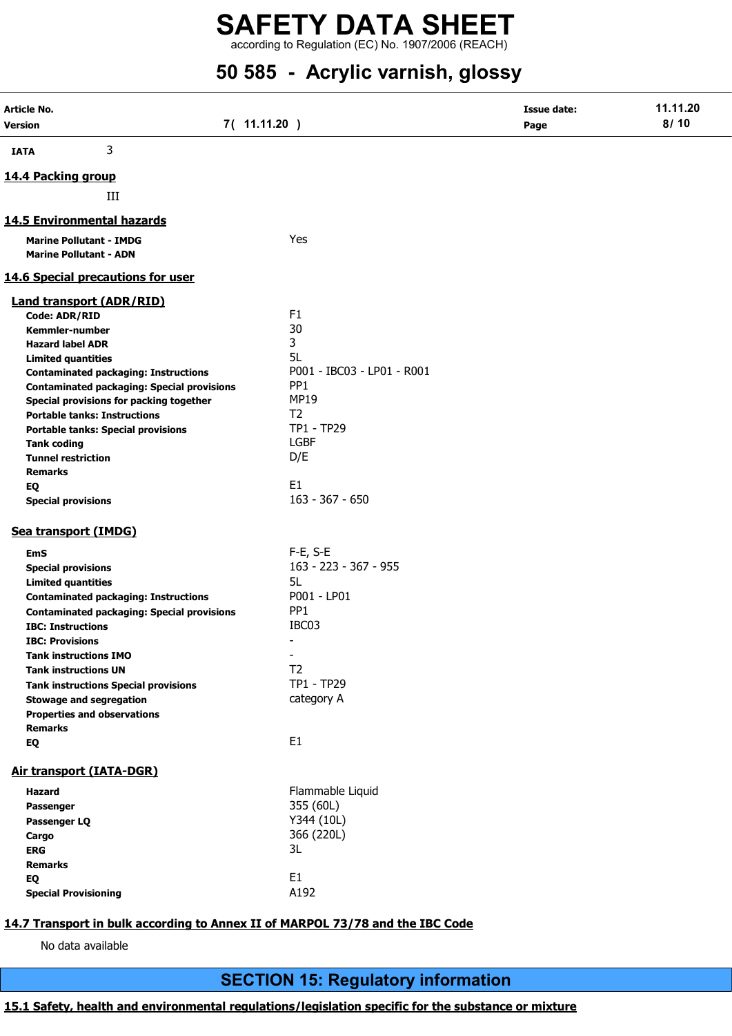according to Regulation (EC) No. 1907/2006 (REACH)

# 50 585 - Acrylic varnish, glossy

| Article No.            |                                                                                              |                                | <b>Issue date:</b> | 11.11.20 |
|------------------------|----------------------------------------------------------------------------------------------|--------------------------------|--------------------|----------|
| <b>Version</b>         |                                                                                              | 7( 11.11.20 )                  | Page               | 8/10     |
| <b>IATA</b>            | 3                                                                                            |                                |                    |          |
| 14.4 Packing group     |                                                                                              |                                |                    |          |
|                        | III                                                                                          |                                |                    |          |
|                        | 14.5 Environmental hazards                                                                   |                                |                    |          |
|                        | <b>Marine Pollutant - IMDG</b>                                                               | Yes                            |                    |          |
|                        | <b>Marine Pollutant - ADN</b>                                                                |                                |                    |          |
|                        | 14.6 Special precautions for user                                                            |                                |                    |          |
|                        | <b>Land transport (ADR/RID)</b>                                                              |                                |                    |          |
| <b>Code: ADR/RID</b>   |                                                                                              | F <sub>1</sub>                 |                    |          |
|                        | Kemmler-number                                                                               | 30                             |                    |          |
|                        | <b>Hazard label ADR</b>                                                                      | 3                              |                    |          |
|                        | <b>Limited quantities</b>                                                                    | 5L                             |                    |          |
|                        | <b>Contaminated packaging: Instructions</b>                                                  | P001 - IBC03 - LP01 - R001     |                    |          |
|                        | <b>Contaminated packaging: Special provisions</b><br>Special provisions for packing together | PP <sub>1</sub><br><b>MP19</b> |                    |          |
|                        | <b>Portable tanks: Instructions</b>                                                          | T <sub>2</sub>                 |                    |          |
|                        | <b>Portable tanks: Special provisions</b>                                                    | TP1 - TP29                     |                    |          |
| <b>Tank coding</b>     |                                                                                              | <b>LGBF</b>                    |                    |          |
|                        | <b>Tunnel restriction</b>                                                                    | D/E                            |                    |          |
| <b>Remarks</b>         |                                                                                              |                                |                    |          |
| EQ                     |                                                                                              | E <sub>1</sub>                 |                    |          |
|                        | <b>Special provisions</b>                                                                    | $163 - 367 - 650$              |                    |          |
|                        | Sea transport (IMDG)                                                                         |                                |                    |          |
| <b>EmS</b>             |                                                                                              | F-E, S-E                       |                    |          |
|                        | <b>Special provisions</b>                                                                    | 163 - 223 - 367 - 955          |                    |          |
|                        | <b>Limited quantities</b>                                                                    | 5L                             |                    |          |
|                        | <b>Contaminated packaging: Instructions</b>                                                  | P001 - LP01                    |                    |          |
|                        | <b>Contaminated packaging: Special provisions</b>                                            | PP <sub>1</sub>                |                    |          |
|                        | <b>IBC: Instructions</b>                                                                     | IBC03                          |                    |          |
| <b>IBC: Provisions</b> |                                                                                              |                                |                    |          |
|                        | <b>Tank instructions IMO</b>                                                                 | $\blacksquare$                 |                    |          |
|                        | <b>Tank instructions UN</b>                                                                  | T <sub>2</sub><br>TP1 - TP29   |                    |          |
|                        | <b>Tank instructions Special provisions</b><br><b>Stowage and segregation</b>                | category A                     |                    |          |
|                        | <b>Properties and observations</b>                                                           |                                |                    |          |
| <b>Remarks</b>         |                                                                                              |                                |                    |          |
| EQ                     |                                                                                              | E1                             |                    |          |
|                        | Air transport (IATA-DGR)                                                                     |                                |                    |          |
| Hazard                 |                                                                                              | Flammable Liquid               |                    |          |
| Passenger              |                                                                                              | 355 (60L)                      |                    |          |
| Passenger LQ           |                                                                                              | Y344 (10L)                     |                    |          |
| Cargo                  |                                                                                              | 366 (220L)                     |                    |          |
| <b>ERG</b>             |                                                                                              | 3L                             |                    |          |
| <b>Remarks</b>         |                                                                                              |                                |                    |          |
| EQ                     |                                                                                              | E1                             |                    |          |
|                        | <b>Special Provisioning</b>                                                                  | A192                           |                    |          |
|                        |                                                                                              |                                |                    |          |

# 14.7 Transport in bulk according to Annex II of MARPOL 73/78 and the IBC Code

No data available

# SECTION 15: Regulatory information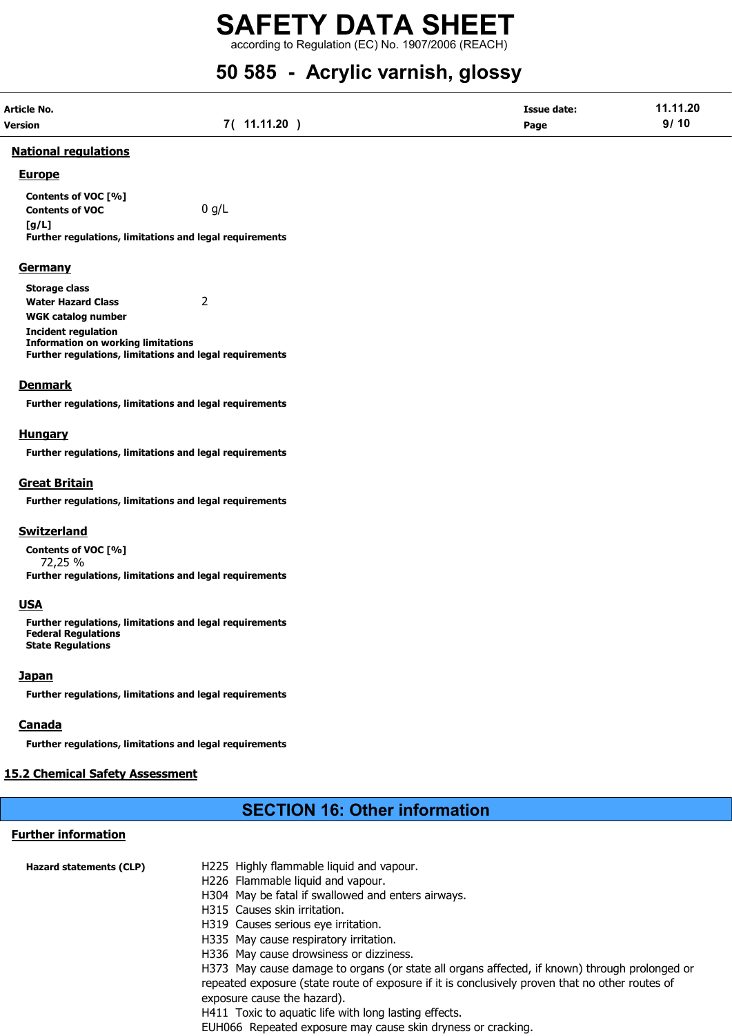according to Regulation (EC) No. 1907/2006 (REACH)

# 50 585 - Acrylic varnish, glossy

| Article No.    |             | <b>Issue date:</b> | 11.11.20 |
|----------------|-------------|--------------------|----------|
| <b>Version</b> | 7( 11.11.20 | Page               | 9/10     |

### National regulations

## **Europe**

Contents of VOC [%] **Contents of VOC** 0  $g/L$  $[a/L]$ Further regulations, limitations and legal requirements

**Germany** 

Storage class

Water Hazard Class 2

WGK catalog number Incident regulation Information on working limitations Further regulations, limitations and legal requirements

# **Denmark**

Further regulations, limitations and legal requirements

# **Hungary**

Further regulations, limitations and legal requirements

# Great Britain

Further regulations, limitations and legal requirements

# **Switzerland**

Contents of VOC [%] 72,25 % Further regulations, limitations and legal requirements

# USA

Further regulations, limitations and legal requirements Federal Regulations State Regulations

# **Japan**

Further regulations, limitations and legal requirements

# **Canada**

Further regulations, limitations and legal requirements

# **15.2 Chemical Safety Assessment**

# SECTION 16: Other information

# Further information

| <b>Hazard statements (CLP)</b> | H225 Highly flammable liquid and vapour.                                                        |
|--------------------------------|-------------------------------------------------------------------------------------------------|
|                                | H226 Flammable liquid and vapour.                                                               |
|                                | H304 May be fatal if swallowed and enters airways.                                              |
|                                | H315 Causes skin irritation.                                                                    |
|                                | H319 Causes serious eye irritation.                                                             |
|                                | H335 May cause respiratory irritation.                                                          |
|                                | H336 May cause drowsiness or dizziness.                                                         |
|                                | H373 May cause damage to organs (or state all organs affected, if known) through prolonged or   |
|                                | repeated exposure (state route of exposure if it is conclusively proven that no other routes of |
|                                | exposure cause the hazard).                                                                     |
|                                | H411 Toxic to aquatic life with long lasting effects.                                           |
|                                | EUH066 Repeated exposure may cause skin dryness or cracking.                                    |